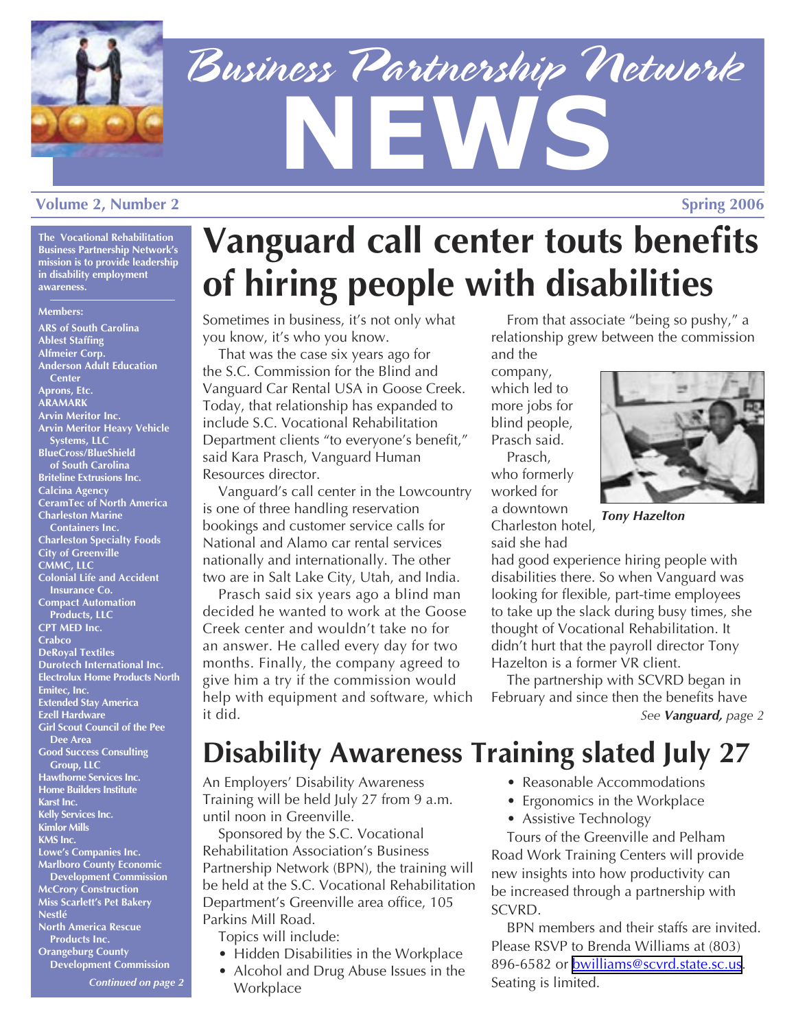

# *Business Partnership Network* **NEWS Volume 2, Number 2** Spring 2006

**The Vocational Rehabilitation Business Partnership Network's mission is to provide leadership in disability employment awareness.**

### **Members:**

**ARS of South Carolina Ablest Staffing Alfmeier Corp. Anderson Adult Education Center Aprons, Etc. ARAMARK Arvin Meritor Inc. Arvin Meritor Heavy Vehicle Systems, LLC BlueCross/BlueShield of South Carolina Briteline Extrusions Inc. Calcina Agency CeramTec of North America Charleston Marine Containers Inc. Charleston Specialty Foods City of Greenville CMMC, LLC Colonial Life and Accident Insurance Co. Compact Automation Products, LLC CPT MED Inc. Crabco DeRoyal Textiles Durotech International Inc. Electrolux Home Products North Emitec, Inc. Extended Stay America Ezell Hardware Girl Scout Council of the Pee Dee Area Good Success Consulting Group, LLC Hawthorne Services Inc. Home Builders Institute Karst Inc. Kelly Services Inc. Kimlor Mills KMS Inc. Lowe's Companies Inc. Marlboro County Economic Development Commission McCrory Construction Miss Scarlett's Pet Bakery Nestlé North America Rescue Products Inc. Orangeburg County Development Commission** 

*Continued on page 2*

# **Vanguard call center touts benefits of hiring people with disabilities**

Sometimes in business, it's not only what you know, it's who you know.

That was the case six years ago for the S.C. Commission for the Blind and Vanguard Car Rental USA in Goose Creek. Today, that relationship has expanded to include S.C. Vocational Rehabilitation Department clients "to everyone's benefit," said Kara Prasch, Vanguard Human Resources director.

Vanguard's call center in the Lowcountry is one of three handling reservation bookings and customer service calls for National and Alamo car rental services nationally and internationally. The other two are in Salt Lake City, Utah, and India.

Prasch said six years ago a blind man decided he wanted to work at the Goose Creek center and wouldn't take no for an answer. He called every day for two months. Finally, the company agreed to give him a try if the commission would help with equipment and software, which it did.

From that associate "being so pushy," a relationship grew between the commission and the

company, which led to more jobs for blind people, Prasch said. Prasch, who formerly worked for a downtown Charleston hotel, said she had



*Tony Hazelton*

had good experience hiring people with disabilities there. So when Vanguard was looking for flexible, part-time employees to take up the slack during busy times, she thought of Vocational Rehabilitation. It didn't hurt that the payroll director Tony Hazelton is a former VR client.

The partnership with SCVRD began in February and since then the benefits have *See Vanguard, page 2*

# **Disability Awareness Training slated July 27**

An Employers' Disability Awareness Training will be held July 27 from 9 a.m. until noon in Greenville.

Sponsored by the S.C. Vocational Rehabilitation Association's Business Partnership Network (BPN), the training will be held at the S.C. Vocational Rehabilitation Department's Greenville area office, 105 Parkins Mill Road.

Topics will include:

- Hidden Disabilities in the Workplace
- Alcohol and Drug Abuse Issues in the **Workplace**
- Reasonable Accommodations
- Ergonomics in the Workplace
- Assistive Technology

Tours of the Greenville and Pelham Road Work Training Centers will provide new insights into how productivity can be increased through a partnership with SCVRD.

BPN members and their staffs are invited. Please RSVP to Brenda Williams at (803) 896-6582 or **bwilliams@scvrd.state.sc.us**. Seating is limited.